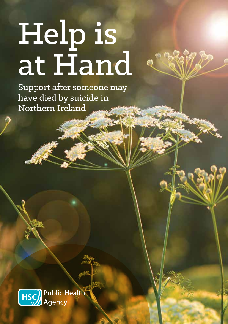# Help is at Hand

Support after someone may have died by suicide in Northern Ireland

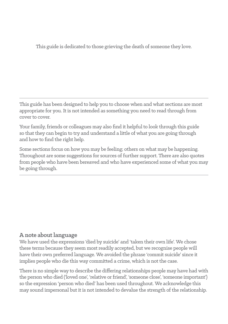This guide is dedicated to those grieving the death of someone they love.

This guide has been designed to help you to choose when and what sections are most appropriate for you. It is not intended as something you need to read through from cover to cover.

Your family, friends or colleagues may also find it helpful to look through this guide so that they can begin to try and understand a little of what you are going through and how to find the right help.

Some sections focus on how you may be feeling; others on what may be happening. Throughout are some suggestions for sources of further support. There are also quotes from people who have been bereaved and who have experienced some of what you may be going through.

## **A note about language**

We have used the expressions 'died by suicide' and 'taken their own life'. We chose these terms because they seem most readily accepted, but we recognise people will have their own preferred language. We avoided the phrase 'commit suicide' since it implies people who die this way committed a crime, which is not the case.

There is no simple way to describe the differing relationships people may have had with the person who died ('loved one', 'relative or friend', 'someone close', 'someone important') so the expression 'person who died' has been used throughout. We acknowledge this may sound impersonal but it is not intended to devalue the strength of the relationship.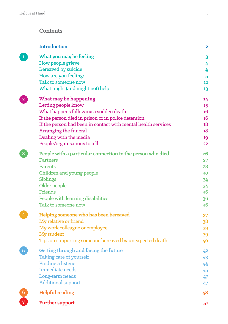#### **Contents**

|                 | <b>Introduction</b>                                           | $\mathbf 2$     |
|-----------------|---------------------------------------------------------------|-----------------|
|                 | What you may be feeling<br>How people grieve                  | 3<br>4          |
|                 | <b>Bereaved by suicide</b>                                    | 4               |
|                 | How are you feeling?                                          | 5               |
|                 | Talk to someone now                                           | 12 <sup>2</sup> |
|                 | What might (and might not) help                               | 13              |
|                 | What may be happening                                         | 14              |
|                 | Letting people know                                           | 15              |
|                 | What happens following a sudden death                         | 16              |
|                 | If the person died in prison or in police detention           | 16 <sup>°</sup> |
|                 | If the person had been in contact with mental health services | 18              |
|                 | Arranging the funeral                                         | 18              |
|                 | Dealing with the media                                        | 19              |
|                 | People/organisations to tell                                  | 22              |
|                 | People with a particular connection to the person who died    | 26              |
|                 | <b>Partners</b>                                               | 27              |
|                 | Parents                                                       | 28              |
|                 | Children and young people                                     | 30              |
|                 | Siblings                                                      | 34              |
|                 | Older people<br>Friends                                       | 34              |
|                 | People with learning disabilities                             | 36              |
|                 | Talk to someone now                                           | 36<br>36        |
|                 |                                                               |                 |
|                 | Helping someone who has been bereaved                         | 37              |
|                 | My relative or friend                                         | 38              |
|                 | My work colleague or employee                                 | 39              |
|                 | My student                                                    | 39              |
|                 | Tips on supporting someone bereaved by unexpected death       | 40              |
| $\overline{5}$  | Getting through and facing the future                         | 42              |
|                 | Taking care of yourself                                       | 43              |
|                 | <b>Finding a listener</b>                                     | 44              |
|                 | <b>Immediate needs</b>                                        | 45              |
|                 | Long-term needs                                               | 47              |
|                 | <b>Additional support</b>                                     | 47              |
| $6\phantom{1}6$ | <b>Helpful reading</b>                                        | 48              |
| $\overline{7}$  | <b>Further support</b>                                        | 51              |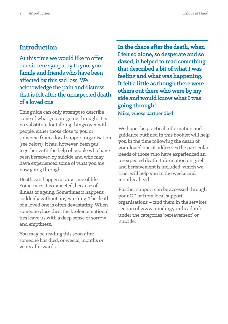## **Introduction**

At this time we would like to offer our sincere sympathy to you, your family and friends who have been affected by this sad loss. We acknowledge the pain and distress that is felt after the unexpected death of a loved one.

This guide can only attempt to describe some of what you are going through. It is no substitute for talking things over with people: either those close to you or someone from a local support organisation (see below). It has, however, been put together with the help of people who have been bereaved by suicide and who may have experienced some of what you are now going through.

Death can happen at any time of life. Sometimes it is expected, because of illness or ageing. Sometimes it happens suddenly without any warning. The death of a loved one is often devastating. When someone close dies, the broken emotional ties leave us with a deep sense of sorrow and emptiness.

You may be reading this soon after someone has died, or weeks, months or years afterwards.

**'In the chaos after the death, when Ifelt so alone, so desperate and so dazed, it helped to read something that described a bit of what I was feeling and what was happening.**  It felt a little as though there were **others out there who were by my side and would know what I was going through.'** Mike, whose partner died

We hope the practical information and guidance outlined in this booklet will help you in the time following the death of your loved one; it addresses the particular needs of those who have experienced an unexpected death. Information on grief and bereavement is included, which we trust will help you in the weeks and months ahead.

Further support can be accessed through your GP or from local support organisations – find them in the services section of www.mindingyourhead.info under the categories 'bereavement' or 'suicide'.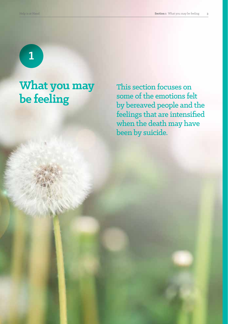1

# **What you may be feeling**

This section focuses on some of the emotions felt by bereaved people and the feelings that are intensified when the death may have been by suicide.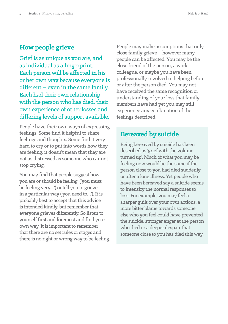# **How people grieve**

Grief is as unique as you are, and as individual as a fingerprint. Each person will be affected in his or her own way because everyone is different – even in the same family. Each had their own relationship with the person who has died, their own experience of other losses and differing levels of support available.

People have their own ways of expressing feelings. Some find it helpful to share feelings and thoughts. Some find it very hard to cry or to put into words how they are feeling: it doesn't mean that they are not as distressed as someone who cannot stop crying.

You may find that people suggest how you are or should be feeling: ('you must be feeling very…') or tell you to grieve in a particular way ('you need to…'). It is probably best to accept that this advice is intended kindly, but remember that everyone grieves differently. So listen to yourself first and foremost and find your own way. It is important to remember that there are no set rules or stages and there is no right or wrong way to be feeling. People may make assumptions that only close family grieve – however many people can be affected. You may be the close friend of the person, a work colleague, or maybe you have been professionally involved in helping before or after the person died. You may not have received the same recognition or understanding of your loss that family members have had yet you may still experience any combination of the feelings described.

# **Bereaved by suicide**

Being bereaved by suicide has been described as 'grief with the volume turned up'. Much of what you may be feeling now would be the same if the person close to you had died suddenly or after a long illness. Yet people who have been bereaved say a suicide seems to intensify the normal responses to loss. For example, you may feel a sharper guilt over your own actions, a more bitter blame towards someone else who you feel could have prevented the suicide, stronger anger at the person who died or a deeper despair that someone close to you has died this way.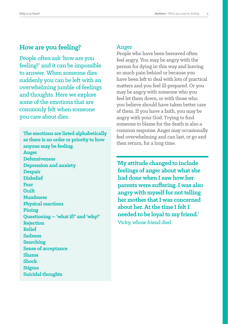# **How are you feeling?**

People often ask 'how are you feeling?' and it can be impossible to answer. When someone dies suddenly you can be left with an overwhelming jumble of feelings and thoughts. Here we explore some of the emotions that are commonly felt when someone you care about dies.

**The emotions are listed alphabetically as there is no order or priority to how anyone may be feeling. Anger Defensiveness Depression and anxiety Despair Disbelief Fear Guilt Numbness Physical reactions Pining Questioning – 'what if?' and 'why?' Rejection Relief Sadness Searching Sense of acceptance Shame Shock Stigma Suicidal thoughts**

#### Anger

People who have been bereaved often feel angry. You may be angry with the person for dying in this way and leaving so much pain behind or because you have been left to deal with lots of practical matters and you feel ill-prepared. Or you may be angry with someone who you feel let them down, or with those who you believe should have taken better care of them. If you have a faith, you may be angry with your God. Trying to find someone to blame for the death is also a common response. Anger may occasionally feel overwhelming and can last, or go and then return, for a long time.

**'My attitude changed to include feelings of anger about what she had done when I saw how her parents were suffering. I was also angry with myself for not telling her mother that I was concerned about her. At the time I felt I needed to be loyal to my friend.'** Vicky, whose friend died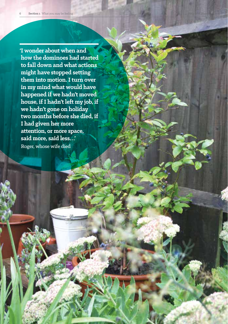**'I wonder about when and how the dominoes had started to fall down and what actions might have stopped setting them into motion. I turn over in my mind what would have happened if we hadn't moved house, if I hadn't left my job, if we hadn't gone on holiday two months before she died, if I had given her more attention, or more space, said more, said less…'** Roger, whose wife died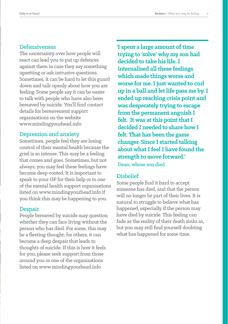#### Defensiveness

The uncertainty over how people will react can lead you to put up defences against them in case they say something upsetting or ask intrusive questions. Sometimes, it can be hard to let this guard down and talk openly about how you are feeling. Some people say it can be easier to talk with people who have also been bereaved by suicide. You'll find contact details for bereavement support organisations on the website www.mindingyourhead.info

#### Depression and anxiety

Sometimes, people feel they are losing control of their mental health because the grief is so intense. This may be a feeling that comes and goes. Sometimes, but not always, you may feel these feelings have become deep-rooted. It is important to speak to your GP for their help or to one of the mental health support organisations listed on www.mindingyourhead.info if you think this may be happening to you.

#### **Despair**

People bereaved by suicide may question whether they can face living without the person who has died. For some, this may be a fleeting thought; for others, it can become a deep despair that leads to thoughts of suicide. If this is how it feels for you, please seek support from those around you or one of the organisations listed on www.mindingyourhead.info

**'I spent a large amount of time trying to 'solve' why my son had decided to take his life. I internalised all these feelings which made things worse and worse for me. I just wanted to curl up in a ball and let life pass me by. I ended up reaching crisis point and was desperately trying to escape from the permanent anguish I felt. It was at this point that I decided I needed to share how I felt. That has been the game changer. Since I started talking about what I feel I have found the strength to move forward.'** Dean, whose son died

#### Disbelief

Some people find it hard to accept someone has died, and that the person will no longer be part of their lives. It is natural to struggle to believe what has happened, especially if the person may have died by suicide. This feeling can fade as the reality of their death sinks in, but you may still find yourself doubting what has happened for some time.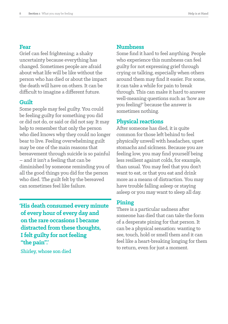#### **Fear**

Grief can feel frightening; a shaky uncertainty because everything has changed. Sometimes people are afraid about what life will be like without the person who has died or about the impact the death will have on others. It can be difficult to imagine a different future.

#### **Guilt**

Some people may feel guilty. You could be feeling guilty for something you did or did not do, or said or did not say. It may help to remember that only the person who died knows why they could no longer bear to live. Feeling overwhelming guilt may be one of the main reasons that bereavement through suicide is so painful – and it isn't a feeling that can be diminished by someone reminding you of all the good things you did for the person who died. The guilt felt by the bereaved can sometimes feel like failure.

**'His death consumed every minute of every hour of every day and on the rare occasions I became distracted from these thoughts, I felt guilty for not feeling "the pain".'**

Shirley, whose son died

#### **Numbness**

Some find it hard to feel anything. People who experience this numbness can feel guilty for not expressing grief through crying or talking, especially when others around them may find it easier. For some, it can take a while for pain to break through. This can make it hard to answer well-meaning questions such as 'how are you feeling?' because the answer is sometimes nothing.

#### **Physical reactions**

After someone has died, it is quite common for those left behind to feel physically unwell with headaches, upset stomachs and sickness. Because you are feeling low, you may find yourself being less resilient against colds, for example, than usual. You may feel that you don't want to eat, or that you eat and drink more as a means of distraction. You may have trouble falling asleep or staying asleep or you may want to sleep all day.

#### **Pining**

There is a particular sadness after someone has died that can take the form of a desperate pining for that person. It can be a physical sensation: wanting to see, touch, hold or smell them and it can feel like a heart-breaking longing for them to return, even for just a moment.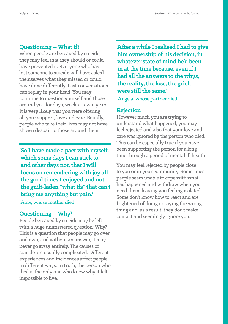#### **Questioning – What if?**

When people are bereaved by suicide, they may feel that they should or could have prevented it. Everyone who has lost someone to suicide will have asked themselves what they missed or could have done differently. Last conversations can replay in your head. You may continue to question yourself and those around you for days, weeks – even years. It is very likely that you were offering all your support, love and care. Equally, people who take their lives may not have shown despair to those around them.

**'So I have made a pact with myself, which some days I can stick to, and other days not, that I will focus on remembering with joy all the good times I enjoyed and not the guilt-laden "what ifs" that can't bring me anything but pain.'** Amy, whose mother died

#### **Questioning – Why?**

People bereaved by suicide may be left with a huge unanswered question: Why? This is a question that people may go over and over, and without an answer, it may never go away entirely. The causes of suicide are usually complicated. Different experiences and incidences affect people in different ways. In truth, the person who died is the only one who knew why it felt impossible to live.

**'After a while I realised I had to give him ownership of his decision, in whatever state of mind he'd been in at the time because, even if I had all the answers to the whys, the reality, the loss, the grief, were still the same.'** Angela, whose partner died

#### **Rejection**

However much you are trying to understand what happened, you may feel rejected and also that your love and care was ignored by the person who died. This can be especially true if you have been supporting the person for a long time through a period of mental ill health.

You may feel rejected by people close to you or in your community. Sometimes people seem unable to cope with what has happened and withdraw when you need them, leaving you feeling isolated. Some don't know how to react and are frightened of doing or saying the wrong thing and, as a result, they don't make contact and seemingly ignore you.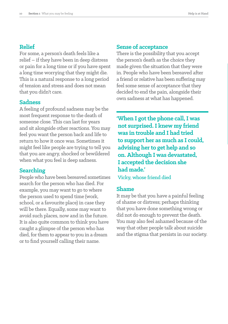#### **Relief**

For some, a person's death feels like a relief – if they have been in deep distress or pain for a long time or if you have spent a long time worrying that they might die. This is a natural response to a long period of tension and stress and does not mean that you didn't care.

#### **Sadness**

A feeling of profound sadness may be the most frequent response to the death of someone close. This can last for years and sit alongside other reactions. You may feel you want the person back and life to return to how it once was. Sometimes it might feel like people are trying to tell you that you are angry, shocked or bewildered when what you feel is deep sadness.

#### **Searching**

People who have been bereaved sometimes search for the person who has died. For example, you may want to go to where the person used to spend time (work, school, or a favourite place) in case they will be there. Equally, some may want to avoid such places, now and in the future. It is also quite common to think you have caught a glimpse of the person who has died, for them to appear to you in a dream or to find yourself calling their name.

#### **Sense of acceptance**

There is the possibility that you accept the person's death as the choice they made given the situation that they were in. People who have been bereaved after a friend or relative has been suffering may feel some sense of acceptance that they decided to end the pain, alongside their own sadness at what has happened.

**'When I got the phone call, I was not surprised. I knew my friend was in trouble and I had tried to support her as much as I could, advising her to get help and so on.Although I was devastated, I accepted the decision she had made.'**

Vicky, whose friend died

#### **Shame**

It may be that you have a painful feeling of shame or distress; perhaps thinking that you have done something wrong or did not do enough to prevent the death. You may also feel ashamed because of the way that other people talk about suicide and the stigma that persists in our society.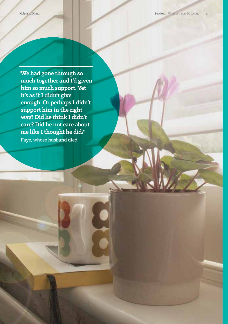**'We had gone through so much together and I'd given him so much support. Yet it's as if I didn't give enough. Or perhaps I didn't support him in the right way? Did he think I didn't care? Did he not care about me like I thought he did?'** Faye, whose husband died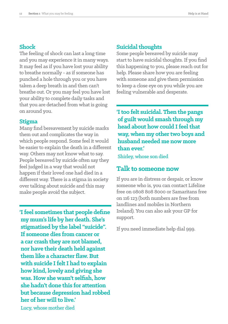#### **Shock**

The feeling of shock can last a long time and you may experience it in many ways. It may feel as if you have lost your ability to breathe normally - as if someone has punched a hole through you or you have taken a deep breath in and then can't breathe out. Or you may feel you have lost your ability to complete daily tasks and that you are detached from what is going on around you.

#### **Stigma**

Many find bereavement by suicide marks them out and complicates the way in which people respond. Some feel it would be easier to explain the death in a different way. Others may not know what to say. People bereaved by suicide often say they feel judged in a way that would not happen if their loved one had died in a different way. There is a stigma in society over talking about suicide and this may make people avoid the subject.

**'I feel sometimes that people define my mum's life by her death. She's stigmatised by the label "suicide". If someone dies from cancer or a car crash they are not blamed, nor have their death held against them like a character flaw. But with suicide I felt I had to explain how kind, lovely and giving she was. How she wasn't selfish, how she hadn't done this for attention but because depression had robbed her of her will to live.'** Lucy, whose mother died

#### **Suicidal thoughts**

Some people bereaved by suicide may start to have suicidal thoughts. If you find this happening to you, please reach out for help. Please share how you are feeling with someone and give them permission to keep a close eye on you while you are feeling vulnerable and desperate.

**'I too felt suicidal. Then the pangs of guilt would smash through my head about how could I feel that way, when my other two boys and husband needed me now more than ever.'**

Shirley, whose son died

## **Talk to someone now**

If you are in distress or despair, or know someone who is, you can contact Lifeline free on 0808 808 8000 or Samaritans free on 116 123 (both numbers are free from landlines and mobiles in Northern Ireland). You can also ask your GP for support.

If you need immediate help dial 999.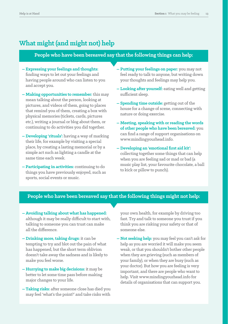# **What might (and might not) help**

#### **People who have been bereaved say that the following things can help:**

- **Expressing your feelings and thoughts:** finding ways to let out your feelings and having people around who can listen to you and accept you.
- **Making opportunities to remember:** this may mean talking about the person, looking at pictures, and videos of them, going to places that remind you of them, creating a box with physical memories (tickets, cards, pictures etc.), writing a journal or blog about them, or continuing to do activities you did together.
- **Developing 'rituals':** having a way of marking their life, for example by visiting a special place, by creating a lasting memorial or by a simple act such as lighting a candle at the same time each week.
- **Participating in activities:** continuing to do things you have previously enjoyed, such as sports, social events or music.
- **Putting your feelings on paper:** you may not feel ready to talk to anyone, but writing down your thoughts and feelings may help you.
- **Looking after yourself:** eating well and getting sufficient sleep.
- **Spending time outside:** getting out of the house for a change of scene, connecting with nature or doing exercise.
- **Meeting, speaking with or reading the words of other people who have been bereaved:** you can find a range of support organisations on www.mindingyourhead.info.
- **Developing an 'emotional first aid kit':** collecting together some things that can help when you are feeling sad or mad or bad (a music play list, your favourite chocolate, a ball to kick or pillow to punch).

#### **People who have been bereaved say that the following things might not help:**

- **Avoiding talking about what has happened:** although it may be really difficult to start with, talking to someone you can trust can make all the difference.
- **Drinking more, taking drugs:** it can be tempting to try and blot out the pain of what has happened, but the short term oblivion doesn't take away the sadness and is likely to make you feel worse.
- **Hurrying to make big decisions:** it may be better to let some time pass before making major changes to your life.
- **Taking risks:** after someone close has died you may feel 'what's the point?' and take risks with

your own health, for example by driving too fast. Try and talk to someone you trust if you think you are risking your safety or that of someone else.

**– Not seeking help:** you may feel you can't ask for help as you are worried it will make you seem weak, or that you shouldn't bother other people when they are grieving (such as members of your family), or when they are busy (such as your doctor). But how you are feeling is very important, and there are people who want to help. Visit www.mindingyourhead.info for details of organisations that can support you.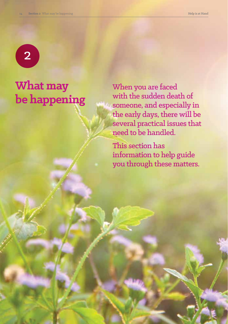

# **What may be happening**

When you are faced with the sudden death of someone, and especially in the early days, there will be several practical issues that need to be handled.

This section has information to help guide you through these matters.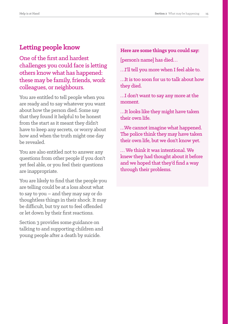# **Letting people know**

One of the first and hardest challenges you could face is letting others know what has happened: these may be family, friends, work colleagues, or neighbours.

You are entitled to tell people when you are ready and to say whatever you want about how the person died. Some say that they found it helpful to be honest from the start as it meant they didn't have to keep any secrets, or worry about how and when the truth might one day be revealed.

You are also entitled not to answer any questions from other people if you don't yet feel able, or you feel their questions are inappropriate.

You are likely to find that the people you are telling could be at a loss about what to say to you – and they may say or do thoughtless things in their shock. It may be difficult, but try not to feel offended or let down by their first reactions.

Section 3 provides some guidance on talking to and supporting children and young people after a death by suicide.

**Here are some things you could say:**

[person's name] has died…

…I'll tell you more when I feel able to.

…It is too soon for us to talk about how they died.

…I don't want to say any more at the moment.

…It looks like they might have taken their own life.

…We cannot imagine what happened. The police think they may have taken their own life, but we don't know yet.

… We think it was intentional. We knew they had thought about it before and we hoped that they'd find a way through their problems.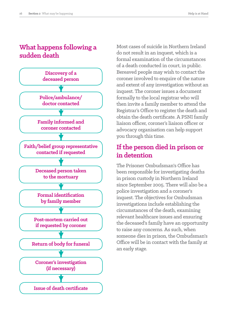# **What happens following a sudden death**



Most cases of suicide in Northern Ireland do not result in an inquest, which is a formal examination of the circumstances of a death conducted in court, in public. Bereaved people may wish to contact the coroner involved to enquire of the nature and extent of any investigation without an inquest. The coroner issues a document formally to the local registrar who will then invite a family member to attend the Registrar's Office to register the death and obtain the death certificate. A PSNI family liaison officer, coroner's liaison officer or advocacy organisation can help support you through this time.

# **If the person died in prison or in detention**

The Prisoner Ombudsman's Office has been responsible for investigating deaths in prison custody in Northern Ireland since September 2005. There will also be a police investigation and a coroner's inquest. The objectives for Ombudsman investigations include establishing the circumstances of the death, examining relevant healthcare issues and ensuring the deceased's family have an opportunity to raise any concerns. As such, when someone dies in prison, the Ombudsman's Office will be in contact with the family at an early stage.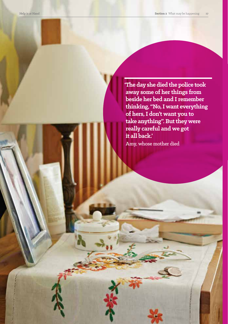**'The day she died the police took away some of her things from beside her bed and I remember thinking, "No, I want everything of hers, I don't want you to take anything". But they were really careful and we got it all back.'**

Amy, whose mother died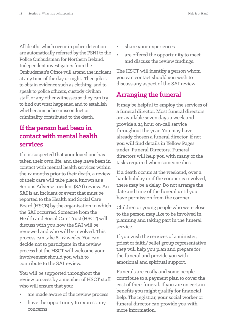All deaths which occur in police detention are automatically referred by the PSNI to the Police Ombudsman for Northern Ireland. Independent investigators from the Ombudsman's Office will attend the incident at any time of the day or night. Their job is to obtain evidence such as clothing, and to speak to police officers, custody civilian staff, or any other witnesses so they can try to find out what happened and to establish whether any police misconduct or criminality contributed to the death.

# **If the person had been in contact with mental health services**

If it is suspected that your loved one has taken their own life, and they have been in contact with mental health services within the 12 months prior to their death, a review of their care will take place, known as a Serious Adverse Incident (SAI) review. An SAI is an incident or event that must be reported to the Health and Social Care Board (HSCB) by the organisation in which the SAI occurred. Someone from the Health and Social Care Trust (HSCT) will discuss with you how the SAI will be reviewed and who will be involved. This process can take 8–12 weeks. You can decide not to participate in the review process but the HSCT will welcome your involvement should you wish to contribute to the SAI review.

You will be supported throughout the review process by a member of HSCT staff who will ensure that you:

- are made aware of the review process
- have the opportunity to express any concerns
- share your experiences
- are offered the opportunity to meet and discuss the review findings.

The HSCT will identify a person whom you can contact should you wish to discuss any aspect of the SAI review.

# **Arranging the funeral**

It may be helpful to employ the services of a funeral director. Most funeral directors are available seven days a week and provide a 24 hour on-call service throughout the year. You may have already chosen a funeral director, if not you will find details in Yellow Pages under 'Funeral Directors'. Funeral directors will help you with many of the tasks required when someone dies.

If a death occurs at the weekend, over a bank holiday or if the coroner is involved, there may be a delay. Do not arrange the date and time of the funeral until you have permission from the coroner.

Children or young people who were close to the person may like to be involved in planning and taking part in the funeral service.

If you wish the services of a minister, priest or faith/belief group representative they will help you plan and prepare for the funeral and provide you with emotional and spiritual support.

Funerals are costly and some people contribute to a payment plan to cover the cost of their funeral. If you are on certain benefits you might qualify for financial help. The registrar, your social worker or funeral director can provide you with more information.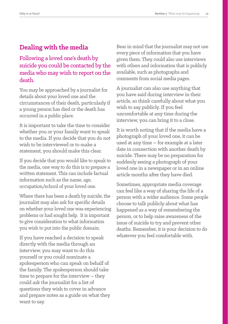# **Dealing with the media**

## Following a loved one's death by suicide you could be contacted by the media who may wish to report on the death.

You may be approached by a journalist for details about your loved one and the circumstances of their death, particularly if a young person has died or the death has occurred in a public place.

It is important to take the time to consider whether you or your family want to speak to the media. If you decide that you do not wish to be interviewed or to make a statement, you should make this clear.

If you decide that you would like to speak to the media, one way to do this is to prepare a written statement. This can include factual information such as the name, age, occupation/school of your loved one.

Where there has been a death by suicide, the journalist may also ask for specific details on whether your loved one was experiencing problems or had sought help. It is important to give consideration to what information you wish to put into the public domain.

If you have reached a decision to speak directly with the media through an interview, you may want to do this yourself or you could nominate a spokesperson who can speak on behalf of the family. The spokesperson should take time to prepare for the interview – they could ask the journalist for a list of questions they wish to cover in advance and prepare notes as a guide on what they want to say.

Bear in mind that the journalist may not use every piece of information that you have given them. They could also use interviews with others and information that is publicly available, such as photographs and comments from social media pages.

A journalist can also use anything that you have said during interview in their article, so think carefully about what you wish to say publicly. If you feel uncomfortable at any time during the interview, you can bring it to a close.

It is worth noting that if the media have a photograph of your loved one, it can be used at any time – for example at a later date in connection with another death by suicide. There may be no preparation for suddenly seeing a photograph of your loved one in a newspaper or in an online article months after they have died.

Sometimes, appropriate media coverage can feel like a way of sharing the life of a person with a wider audience. Some people choose to talk publicly about what has happened as a way of remembering the person, or to help raise awareness of the issue of suicide to try and prevent other deaths. Remember, it is your decision to do whatever you feel comfortable with.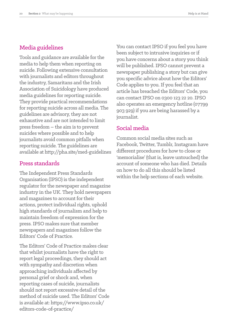## Media guidelines

Tools and guidance are available for the media to help them when reporting on suicide. Following extensive consultation with journalists and editors throughout the industry, Samaritans and the Irish Association of Suicidology have produced media guidelines for reporting suicide. They provide practical recommendations for reporting suicide across all media. The guidelines are advisory, they are not exhaustive and are not intended to limit press freedom – the aim is to prevent suicides where possible and to help journalists avoid common pitfalls when reporting suicide. The guidelines are available at http://pha.site/med-guidelines

#### Press standards

The Independent Press Standards Organisation (IPSO) is the independent regulator for the newspaper and magazine industry in the UK. They hold newspapers and magazines to account for their actions, protect individual rights, uphold high standards of journalism and help to maintain freedom of expression for the press. IPSO makes sure that member newspapers and magazines follow the Editors' Code of Practice.

The Editors' Code of Practice makes clear that whilst journalists have the right to report legal proceedings, they should act with sympathy and discretion when approaching individuals affected by personal grief or shock and, when reporting cases of suicide, journalists should not report excessive detail of the method of suicide used. The Editors' Code is available at: https://www.ipso.co.uk/ editors-code-of-practice/

You can contact IPSO if you feel you have been subject to intrusive inquiries or if you have concerns about a story you think will be published. IPSO cannot prevent a newspaper publishing a story but can give you specific advice about how the Editors' Code applies to you. If you feel that an article has breached the Editors' Code, you can contact IPSO on 0300 123 22 20. IPSO also operates an emergency hotline (07799 903 929) if you are being harassed by a journalist.

#### Social media

Common social media sites such as Facebook, Twitter, Tumblr, Instagram have different procedures for how to close or 'memorialise' (that is, leave untouched) the account of someone who has died. Details on how to do all this should be listed within the help sections of each website.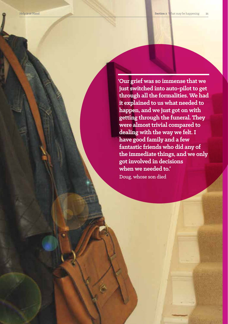**'Our grief was so immense that we just switched into auto-pilot to get through all the formalities. We had it explained to us what needed to happen, and we just got on with getting through the funeral. They were almost trivial compared to dealing with the way we felt. I have good family and a few fantastic friends who did any of the immediate things, and we only got involved in decisions when we needed to.'**

Doug, whose son died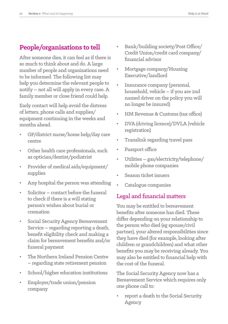# **People/organisations to tell**

After someone dies, it can feel as if there is so much to think about and do. A large number of people and organisations need to be informed. The following list may help you determine the relevant people to notify – not all will apply in every case. A family member or close friend could help.

Early contact will help avoid the distress of letters, phone calls and supplies/ equipment continuing in the weeks and months ahead.

- GP/district nurse/home help/day care centre
- Other health care professionals, such as optician/dentist/podiatrist
- Provider of medical aids/equipment/ supplies
- Any hospital the person was attending
- Solicitor contact before the funeral to check if there is a will stating person's wishes about burial or cremation
- Social Security Agency Bereavement Service – regarding reporting a death, benefit eligibility check and making a claim for bereavement benefits and/or funeral payment
- The Northern Ireland Pension Centre – regarding state retirement pension
- School/higher education institutions
- Employer/trade union/pension company
- Bank/building society/Post Office/ Credit Union/credit card company/ financial advisor
- Mortgage company/Housing Executive/landlord
- Insurance company (personal, household, vehicle – if you are 2nd named driver on the policy you will no longer be insured)
- HM Revenue & Customs (tax office)
- DVA (driving licence)/DVLA (vehicle registration)
- Translink regarding travel pass
- Passport office
- Utilities gas/electricity/telephone/ mobile phone companies
- Season ticket issuers
- Catalogue companies

# Legal and financial matters

You may be entitled to bereavement benefits after someone has died. These differ depending on your relationship to the person who died (eg spouse/civil partner), your altered responsibilities since they have died (for example, looking after children or grandchildren) and what other benefits you may be receiving already. You may also be entitled to financial help with the cost of the funeral.

The Social Security Agency now has a Bereavement Service which requires only one phone call to:

• report a death to the Social Security Agency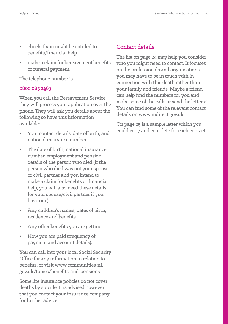- check if you might be entitled to benefits/financial help
- make a claim for bereavement benefits or funeral payment.

The telephone number is

#### 0800 085 2463

When you call the Bereavement Service they will process your application over the phone. They will ask you details about the following so have this information available:

- Your contact details, date of birth, and national insurance number
- The date of birth, national insurance number, employment and pension details of the person who died (if the person who died was not your spouse or civil partner and you intend to make a claim for benefits or financial help, you will also need these details for your spouse/civil partner if you have one)
- Any children's names, dates of birth, residence and benefits
- Any other benefits you are getting
- How you are paid (frequency of payment and account details).

You can call into your local Social Security Office for any information in relation to benefits, or visit www.communities-ni. gov.uk/topics/benefits-and-pensions

Some life insurance policies do not cover deaths by suicide. It is advised however that you contact your insurance company for further advice.

## Contact details

The list on page 24 may help you consider who you might need to contact. It focuses on the professionals and organisations you may have to be in touch with in connection with this death rather than your family and friends. Maybe a friend can help find the numbers for you and make some of the calls or send the letters? You can find some of the relevant contact details on www.nidirect.gov.uk

On page 25 is a sample letter which you could copy and complete for each contact.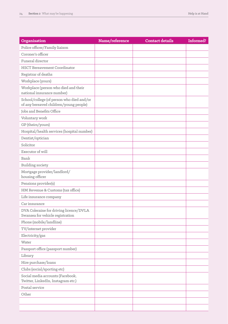| Organisation                                                                        | Name/reference | <b>Contact details</b> | Informed? |
|-------------------------------------------------------------------------------------|----------------|------------------------|-----------|
| Police officer/Family liaison                                                       |                |                        |           |
| Coroner's officer                                                                   |                |                        |           |
| Funeral director                                                                    |                |                        |           |
| <b>HSCT Bereavement Coordinator</b>                                                 |                |                        |           |
| Registrar of deaths                                                                 |                |                        |           |
| Workplace (yours)                                                                   |                |                        |           |
| Workplace (person who died and their<br>national insurance number)                  |                |                        |           |
| School/college (of person who died and/or<br>of any bereaved children/young people) |                |                        |           |
| Jobs and Benefits Office                                                            |                |                        |           |
| Voluntary work                                                                      |                |                        |           |
| GP (theirs/yours)                                                                   |                |                        |           |
| Hospital/health services (hospital number)                                          |                |                        |           |
| Dentist/optician                                                                    |                |                        |           |
| Solicitor                                                                           |                |                        |           |
| Executor of will                                                                    |                |                        |           |
| Bank                                                                                |                |                        |           |
| <b>Building society</b>                                                             |                |                        |           |
| Mortgage provider/landlord/<br>housing officer                                      |                |                        |           |
| Pensions provider(s)                                                                |                |                        |           |
| HM Revenue & Customs (tax office)                                                   |                |                        |           |
| Life insurance company                                                              |                |                        |           |
| Car insurance                                                                       |                |                        |           |
| DVA Coleraine for driving licence/DVLA<br>Swansea for vehicle registration          |                |                        |           |
| Phone (mobile/landline)                                                             |                |                        |           |
| TV/internet provider                                                                |                |                        |           |
| Electricity/gas                                                                     |                |                        |           |
| Water                                                                               |                |                        |           |
| Passport office (passport number)                                                   |                |                        |           |
| Library                                                                             |                |                        |           |
| Hire purchase/loans                                                                 |                |                        |           |
| Clubs (social/sporting etc)                                                         |                |                        |           |
| Social media accounts (Facebook,<br>Twitter, LinkedIn, Instagram etc.)              |                |                        |           |
| Postal service                                                                      |                |                        |           |
| Other                                                                               |                |                        |           |
|                                                                                     |                |                        |           |
|                                                                                     |                |                        |           |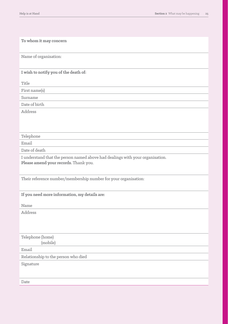| To whom it may concern                                                                                                 |
|------------------------------------------------------------------------------------------------------------------------|
| Name of organisation:                                                                                                  |
| I wish to notify you of the death of:                                                                                  |
| Title                                                                                                                  |
| First name(s)                                                                                                          |
| Surname                                                                                                                |
| Date of birth                                                                                                          |
| Address                                                                                                                |
|                                                                                                                        |
|                                                                                                                        |
| Telephone                                                                                                              |
| Email                                                                                                                  |
| Date of death                                                                                                          |
| I understand that the person named above had dealings with your organisation.<br>Please amend your records. Thank you. |
| Their reference number/membership number for your organisation:                                                        |
| If you need more information, my details are:                                                                          |
| Name                                                                                                                   |
| Address                                                                                                                |
|                                                                                                                        |
| Telephone (home)<br>(mobile)                                                                                           |
| Email                                                                                                                  |
| Relationship to the person who died                                                                                    |
| Signature                                                                                                              |
| Date                                                                                                                   |
|                                                                                                                        |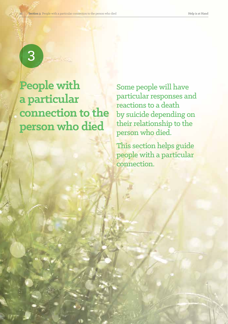# 3

**People with a particular connection to the person who died** 

Some people will have particular responses and reactions to a death by suicide depending on their relationship to the person who died.

This section helps guide people with a particular connection.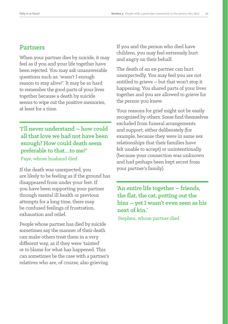#### **Partners**

When your partner dies by suicide, it may feel as if you and your life together have been rejected. You may ask unanswerable questions such as: 'wasn't I enough reason to stay alive?'. It may be so hard to remember the good parts of your lives together because a death by suicide seems to wipe out the positive memories, at least for a time.

# **'I'll never understand – how could all that love we had not have been enough? How could death seem preferable to that…to me?'**

Faye, whose husband died

If the death was unexpected, you are likely to be feeling as if the ground has disappeared from under your feet. If you have been supporting your partner through mental ill health or previous attempts for a long time, there may be confused feelings of frustration, exhaustion and relief.

People whose partner has died by suicide sometimes say the manner of their death can make others treat them in a very different way, as if they were 'tainted' or to blame for what has happened. This can sometimes be the case with a partner's relatives who are, of course, also grieving. If you and the person who died have children, you may feel extremely hurt and angry on their behalf.

The death of an ex-partner can hurt unexpectedly. You may feel you are not entitled to grieve – but that won't stop it happening. You shared parts of your lives together and you are allowed to grieve for the person you knew.

Your reasons for grief might not be easily recognised by others. Some find themselves excluded from funeral arrangements and support, either deliberately (for example, because they were in same sex relationships that their families have felt unable to accept) or unintentionally (because your connection was unknown and had perhaps been kept secret from your partner's family).

**'An entire life together – friends, the flat, the cat, putting out the bins – yet I wasn't even seen as his next of kin.'** Stephen, whose partner died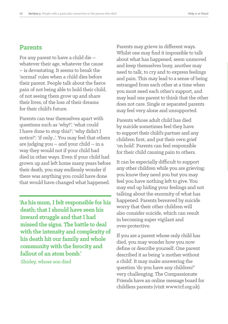#### **Parents**

For any parent to have a child die – whatever their age, whatever the cause – is devastating. It seems to break the 'normal' rules when a child dies before their parent. People talk about the fierce pain of not being able to hold their child, of not seeing them grow up and share their lives, of the loss of their dreams for their child's future.

Parents can tear themselves apart with questions such as 'why?'; 'what could I have done to stop this?'; 'why didn't I notice?'; 'if only...'. You may feel that others are judging you – and your child – in a way they would not if your child had died in other ways. Even if your child had grown up and left home many years before their death, you may endlessly wonder if there was anything you could have done that would have changed what happened.

**'As his mum, I felt responsible for his death; that I should have seen his inward struggle and that I had missed the signs. The battle to deal with the intensity and complexity of his death hit our family and whole community with the ferocity and fallout of an atom bomb.'** Shirley, whose son died

Parents may grieve in different ways. Whilst one may find it impossible to talk about what has happened, seem unmoved and keep themselves busy, another may need to talk, to cry and to express feelings and pain. This may lead to a sense of being estranged from each other at a time when you most need each other's support, and may lead one parent to think that the other does not care. Single or separated parents may feel very alone and unsupported.

Parents whose adult child has died by suicide sometimes feel they have to support their child's partner and any children first, and put their own grief 'on hold'. Parents can feel responsible for their child causing pain to others.

It can be especially difficult to support any other children while you are grieving; you know they need you but you may feel you have nothing left to give. You may end up hiding your feelings and not talking about the enormity of what has happened. Parents bereaved by suicide worry that their other children will also consider suicide, which can result in becoming super vigilant and over-protective.

If you are a parent whose only child has died, you may wonder how you now define or describe yourself. One parent described it as being 'a mother without a child'. It may make answering the question 'do you have any children?' very challenging. The Compassionate Friends have an online message board for childless parents (visit www.tcf.org.uk).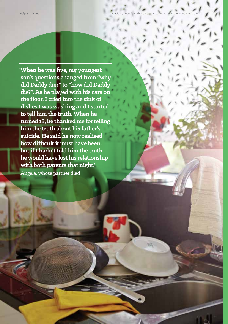**'When he was five, my youngest son's questions changed from "why did Daddy die?" to "how did Daddy die?". As he played with his cars on the floor, I cried into the sink of dishes I was washing and I started to tell him the truth. When he turned 18, he thanked me for telling him the truth about his father's suicide. He said he now realised how difficult it must have been, but if I hadn't told him the truth he would have lost his relationship with both parents that night.'** Angela, whose partner died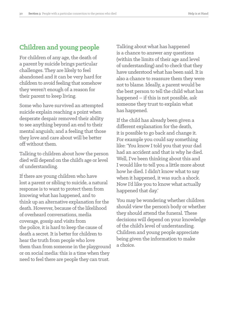# **Children and young people**

For children of any age, the death of a parent by suicide brings particular challenges. They are likely to feel abandoned and it can be very hard for children to avoid feeling that somehow they weren't enough of a reason for their parent to keep living.

Some who have survived an attempted suicide explain reaching a point when desperate despair removed their ability to see anything beyond an end to their mental anguish; and a feeling that those they love and care about will be better off without them.

Talking to children about how the person died will depend on the child's age or level of understanding.

If there are young children who have lost a parent or sibling to suicide, a natural response is to want to protect them from knowing what has happened, and to think up an alternative explanation for the death. However, because of the likelihood of overheard conversations, media coverage, gossip and visits from the police, it is hard to keep the cause of death a secret. It is better for children to hear the truth from people who love them than from someone in the playground or on social media: this is a time when they need to feel there are people they can trust.

Talking about what has happened is a chance to answer any questions (within the limits of their age and level of understanding) and to check that they have understood what has been said. It is also a chance to reassure them they were not to blame. Ideally, a parent would be the best person to tell the child what has happened – if this is not possible, ask someone they trust to explain what has happened.

If the child has already been given a different explanation for the death, it is possible to go back and change it. For example you could say something like: 'You know I told you that your dad had an accident and that is why he died. Well, I've been thinking about this and I would like to tell you a little more about how he died. I didn't know what to say when it happened, it was such a shock. Now I'd like you to know what actually happened that day.'

You may be wondering whether children should view the person's body or whether they should attend the funeral. These decisions will depend on your knowledge of the child's level of understanding. Children and young people appreciate being given the information to make a choice.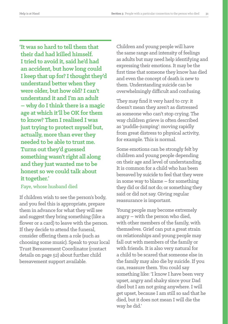**'It was so hard to tell them that their dad had killed himself. Itried to avoid it, said he'd had an accident, but how long could I keep that up for? I thought they'd understand better when they were older, but how old? I can't understand it and I'm an adult – why do I think there is a magic age at which it'll be OK for them to know? Then I realised I was just trying to protect myself but, actually, more than ever they needed to be able to trust me. Turns out they'd guessed something wasn't right all along and they just wanted me to be honest so we could talk about it together.'**

#### Faye, whose husband died

If children wish to see the person's body, and you feel this is appropriate, prepare them in advance for what they will see and suggest they bring something (like a flower or a card) to leave with the person. If they decide to attend the funeral, consider offering them a role (such as choosing some music). Speak to your local Trust Bereavement Coordinator (contact details on page 52) about further child bereavement support available.

Children and young people will have the same range and intensity of feelings as adults but may need help identifying and expressing their emotions. It may be the first time that someone they know has died and even the concept of death is new to them. Understanding suicide can be overwhelmingly difficult and confusing.

They may find it very hard to cry: it doesn't mean they aren't as distressed as someone who can't stop crying. The way children grieve is often described as 'puddle-jumping': moving rapidly from great distress to physical activity, for example. This is normal.

Some emotions can be strongly felt by children and young people depending on their age and level of understanding. It is common for a child who has been bereaved by suicide to feel that they were in some way to blame – for something they did or did not do; or something they said or did not say. Giving regular reassurance is important.

Young people may become extremely angry – with the person who died, with other members of the family, with themselves. Grief can put a great strain on relationships and young people may fall out with members of the family or with friends. It is also very natural for a child to be scared that someone else in the family may also die by suicide. If you can, reassure them. You could say something like: 'I know I have been very upset, angry and shaky since your Dad died but I am not going anywhere. I will get upset, because I am still so sad that he died, but it does not mean I will die the way he did.'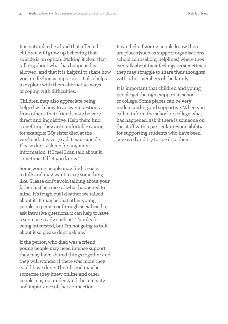It is natural to be afraid that affected children will grow up believing that suicide is an option. Making it clear that talking about what has happened is allowed, and that it is helpful to share how you are feeling is important. It also helps to explore with them alternative ways of coping with difficulties.

Children may also appreciate being helped with how to answer questions from others: their friends may be very direct and inquisitive. Help them find something they are comfortable saying, for example: 'My sister died at the weekend. It is very sad. It was suicide. Please don't ask me for any more information. If I feel I can talk about it, sometime, I'll let you know.'

Some young people may find it easier to talk and may want to say something like: 'Please don't avoid talking about your father just because of what happened to mine. It's tough but I'd rather we talked about it.' It may be that other young people, in person or through social media, ask intrusive questions; it can help to have a sentence ready such as: 'Thanks for being interested, but I'm not going to talk about it so please don't ask me.'

If the person who died was a friend, young people may need intense support; they may have shared things together and they will wonder if there was more they could have done. Their friend may be someone they knew online and other people may not understand the intensity and importance of that connection.

It can help if young people know there are places (such as support organisations, school counsellors, helplines) where they can talk about their feelings, as sometimes they may struggle to share their thoughts with other members of the family.

It is important that children and young people get the right support at school or college. Some places can be very understanding and supportive. When you call to inform the school or college what has happened, ask if there is someone on the staff with a particular responsibility for supporting students who have been bereaved and try to speak to them.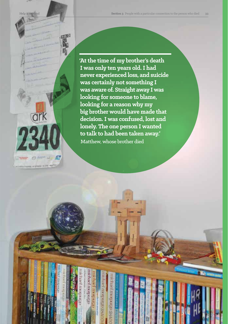ark  $\Theta =$ **LET MODERNE MOVETHERIC OF REASON IN EAST CREW** 

**'At the time of my brother's death I was only ten years old. I had never experienced loss, and suicide was certainly not something I was aware of. Straight away I was looking for someone to blame, looking for a reason why my big brother would have made that decision. I was confused, lost and lonely. The one person I wanted to talk to had been taken away.'** Matthew, whose brother died

**DIRECT DIRECT**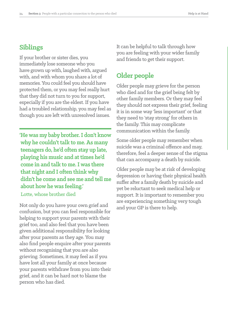# **Siblings**

If your brother or sister dies, you immediately lose someone who you have grown up with, laughed with, argued with, and with whom you share a lot of memories. You could feel you should have protected them, or you may feel really hurt that they did not turn to you for support, especially if you are the eldest. If you have had a troubled relationship, you may feel as though you are left with unresolved issues.

**'He was my baby brother. I don't know why he couldn't talk to me. As many teenagers do, he'd often stay up late, playing his music and at times he'd come in and talk to me. I was there that night and I often think why didn't he come and see me and tell me about how he was feeling.'** Lotte, whose brother died

Not only do you have your own grief and confusion, but you can feel responsible for helping to support your parents with their grief too, and also feel that you have been given additional responsibility for looking after your parents as they age. You may also find people enquire after your parents without recognising that you are also grieving. Sometimes, it may feel as if you have lost all your family at once because your parents withdraw from you into their grief, and it can be hard not to blame the person who has died.

It can be helpful to talk through how you are feeling with your wider family and friends to get their support.

# **Older people**

Older people may grieve for the person who died and for the grief being felt by other family members. Or they may feel they should not express their grief, feeling it is in some way 'less important' or that they need to 'stay strong' for others in the family. This may complicate communication within the family.

Some older people may remember when suicide was a criminal offence and may, therefore, feel a deeper sense of the stigma that can accompany a death by suicide.

Older people may be at risk of developing depression or having their physical health suffer after a family death by suicide and yet be reluctant to seek medical help or support. It is important to remember you are experiencing something very tough and your GP is there to help.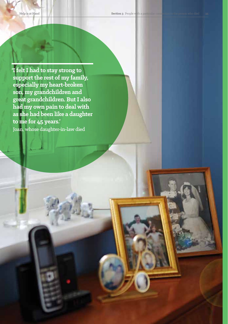**'I felt I had to stay strong to support the rest of my family, especially my heart-broken son, my grandchildren and great grandchildren. But I also had my own pain to deal with as she had been like a daughter to me for 45 years.'** Joan, whose daughter-in-law died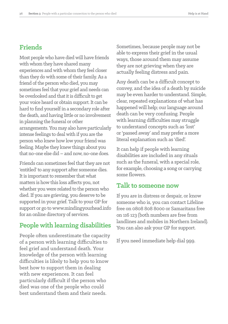# **Friends**

Most people who have died will have friends with whom they have shared many experiences and with whom they feel closer than they do with some of their family. As a friend of the person who died, you may sometimes feel that your grief and needs can be overlooked and that it is difficult to get your voice heard or obtain support. It can be hard to find yourself in a secondary role after the death, and having little or no involvement in planning the funeral or other arrangements. You may also have particularly intense feelings to deal with if you are the person who knew how low your friend was feeling. Maybe they knew things about you that no-one else did – and now, no-one does.

Friends can sometimes feel that they are not 'entitled' to any support after someone dies. It is important to remember that what matters is how this loss affects you, not whether you were related to the person who died. If you are grieving, you deserve to be supported in your grief. Talk to your GP for support or go to www.mindingyourhead.info for an online directory of services.

# **People with learning disabilities**

People often underestimate the capacity of a person with learning difficulties to feel grief and understand death. Your knowledge of the person with learning difficulties is likely to help you to know best how to support them in dealing with new experiences. It can feel particularly difficult if the person who died was one of the people who could best understand them and their needs.

Sometimes, because people may not be able to express their grief in the usual ways, those around them may assume they are not grieving when they are actually feeling distress and pain.

Any death can be a difficult concept to convey, and the idea of a death by suicide may be even harder to understand. Simple, clear, repeated explanations of what has happened will help; our language around death can be very confusing. People with learning difficulties may struggle to understand concepts such as 'lost' or'passed away' and may prefer a more literal explanation such as 'died'.

It can help if people with learning disabilities are included in any rituals such as the funeral, with a special role, for example, choosing a song or carrying some flowers.

#### **Talk to someone now**

If you are in distress or despair, or know someone who is, you can contact Lifeline free on 0808 808 8000 or Samaritans free on 116 123 (both numbers are free from landlines and mobiles in Northern Ireland). You can also ask your GP for support.

If you need immediate help dial 999.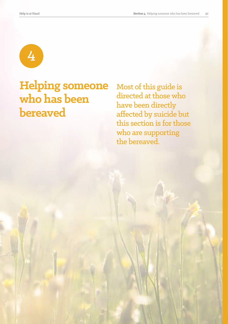

# **Helping someone who has been bereaved**

Most of this guide is directed at those who have been directly affected by suicide but this section is for those who are supporting the bereaved.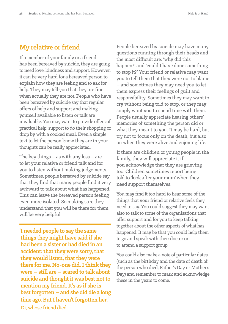# **My relative or friend**

If a member of your family or a friend has been bereaved by suicide, they are going to need love, kindness and support. However, it can be very hard for a bereaved person to explain how they are feeling and to ask for help. They may tell you that they are fine when actually they are not. People who have been bereaved by suicide say that regular offers of help and support and making yourself available to listen or talk are invaluable. You may want to provide offers of practical help: support to do their shopping or drop by with a cooked meal. Even a simple text to let the person know they are in your thoughts can be really appreciated.

The key things – as with any loss – are to let your relative or friend talk and for you to listen without making judgements. Sometimes, people bereaved by suicide say that they find that many people find it very awkward to talk about what has happened. This can leave the bereaved person feeling even more isolated. So making sure they understand that you will be there for them will be very helpful.

**'I needed people to say the same things they might have said if she had been a sister or had died in an accident: that they were sorry, that they would listen, that they were there for me. No-one did. I think they were – still are – scared to talk about suicide and thought it was best not to mention my friend. It's as if she is best forgotten – and she did die a long time ago. But I haven't forgotten her.'** Di, whose friend died

People bereaved by suicide may have many questions running through their heads and the most difficult are: 'why did this happen?' and 'could I have done something to stop it?' Your friend or relative may want you to tell them that they were not to blame – and sometimes they may need you to let them express their feelings of guilt and responsibility. Sometimes they may want to cry without being told to stop, or they may simply want you to spend time with them. People usually appreciate hearing others' memories of something the person did or what they meant to you. It may be hard, but try not to focus only on the death, but also on when they were alive and enjoying life.

If there are children or young people in the family, they will appreciate it if you acknowledge that they are grieving too. Children sometimes report being told to 'look after your mum' when they need support themselves.

You may find it too hard to hear some of the things that your friend or relative feels they need to say. You could suggest they may want also to talk to some of the organisations that offer support and for you to keep talking together about the other aspects of what has happened. It may be that you could help them to go and speak with their doctor or to attend a support group.

You could also make a note of particular dates (such as the birthday and the date of death of the person who died, Father's Day or Mother's Day) and remember to mark and acknowledge these in the years to come.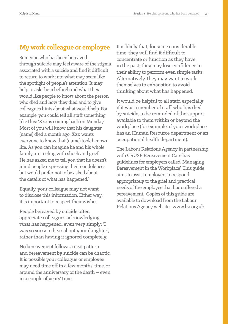# **My work colleague or employee**

Someone who has been bereaved through suicide may feel aware of the stigma associated with a suicide and find it difficult to return to work into what may seem like the spotlight of people's attention. It may help to ask them beforehand what they would like people to know about the person who died and how they died and to give colleagues hints about what would help. For example, you could tell all staff something like this: 'Xxx is coming back on Monday. Most of you will know that his daughter (name) died a month ago. Xxx wants everyone to know that (name) took her own life. As you can imagine he and his whole family are reeling with shock and grief. He has asked me to tell you that he doesn't mind people expressing their condolences but would prefer not to be asked about the details of what has happened.'

Equally, your colleague may not want to disclose this information. Either way, it is important to respect their wishes.

People bereaved by suicide often appreciate colleagues acknowledging what has happened, even very simply: 'I was so sorry to hear about your daughter', rather than having it ignored completely.

No bereavement follows a neat pattern and bereavement by suicide can be chaotic. It is possible your colleague or employee may need time off in a few months' time, or around the anniversary of the death – even in a couple of years' time.

It is likely that, for some considerable time, they will find it difficult to concentrate or function as they have in the past; they may lose confidence in their ability to perform even simple tasks. Alternatively, they may want to work themselves to exhaustion to avoid thinking about what has happened.

It would be helpful to all staff, especially if it was a member of staff who has died by suicide, to be reminded of the support available to them within or beyond the workplace (for example, if your workplace has an Human Resource department or an occupational health department).

The Labour Relations Agency in partnership with CRUSE Bereavement Care has guidelines for employers called 'Managing Bereavement in the Workplace'. This guide aims to assist employers to respond appropriately to the grief and practical needs of the employee that has suffered a bereavement. Copies of this guide are available to download from the Labour Relations Agency website: www.lra.org.uk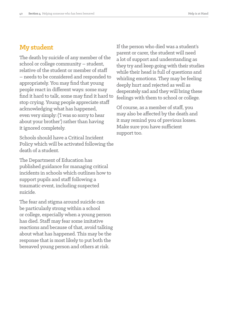## **My student**

The death by suicide of any member of the school or college community – student, relative of the student or member of staff – needs to be considered and responded to appropriately. You may find that young people react in different ways: some may find it hard to talk, some may find it hard to stop crying. Young people appreciate staff acknowledging what has happened, even very simply: ('I was so sorry to hear about your brother') rather than having it ignored completely.

Schools should have a Critical Incident Policy which will be activated following the death of a student.

The Department of Education has published guidance for managing critical incidents in schools which outlines how to support pupils and staff following a traumatic event, including suspected suicide.

The fear and stigma around suicide can be particularly strong within a school or college, especially when a young person has died. Staff may fear some imitative reactions and because of that, avoid talking about what has happened. This may be the response that is most likely to put both the bereaved young person and others at risk.

If the person who died was a student's parent or carer, the student will need a lot of support and understanding as they try and keep going with their studies while their head is full of questions and whirling emotions. They may be feeling deeply hurt and rejected as well as desperately sad and they will bring these feelings with them to school or college.

Of course, as a member of staff, you may also be affected by the death and it may remind you of previous losses. Make sure you have sufficient support too.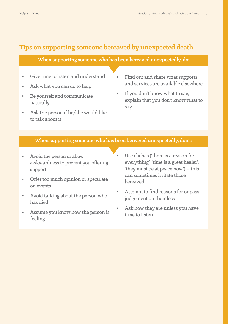# **Tips on supporting someone bereaved by unexpected death**

#### **When supporting someone who has been bereaved unexpectedly, do:**

- Give time to listen and understand
- Ask what you can do to help
- Be yourself and communicate naturally
- Ask the person if he/she would like to talk about it
- Find out and share what supports and services are available elsewhere
- If you don't know what to say, explain that you don't know what to say

#### **When supporting someone who has been bereaved unexpectedly, don't:**

- Avoid the person or allow awkwardness to prevent you offering support
- Offer too much opinion or speculate on events
- Avoid talking about the person who has died
- Assume you know how the person is feeling
- Use clichés ('there is a reason for everything', 'time is a great healer', 'they must be at peace now') – this can sometimes irritate those bereaved
- Attempt to find reasons for or pass judgement on their loss
- Ask how they are unless you have time to listen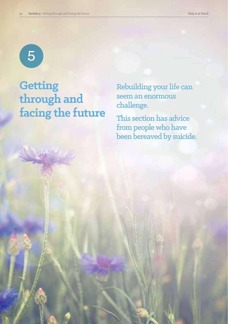5

# **Getting through and facing the future**

Rebuilding your life can seem an enormous challenge.

This section has advice from people who have been bereaved by suicide.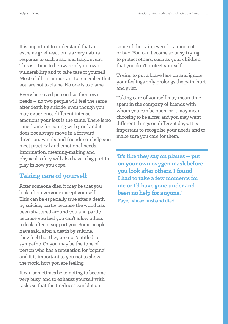It is important to understand that an extreme grief reaction is a very natural response to such a sad and tragic event. This is a time to be aware of your own vulnerability and to take care of yourself. Most of all it is important to remember that you are not to blame. No one is to blame.

Every bereaved person has their own needs – no two people will feel the same after death by suicide; even though you may experience different intense emotions your loss is the same. There is no time frame for coping with grief and it does not always move in a forward direction. Family and friends can help you meet practical and emotional needs. Information, meaning-making and physical safety will also have a big part to play in how you cope.

# **Taking care of yourself**

After someone dies, it may be that you look after everyone except yourself. This can be especially true after a death by suicide, partly because the world has been shattered around you and partly because you feel you can't allow others to look after or support you. Some people have said, after a death by suicide, they feel that they are not 'entitled' to sympathy. Or you may be the type of person who has a reputation for 'coping' and it is important to you not to show the world how you are feeling.

It can sometimes be tempting to become very busy, and to exhaust yourself with tasks so that the tiredness can blot out

some of the pain, even for a moment ortwo. You can become so busy trying to protect others, such as your children, that you don't protect yourself.

Trying to put a brave face on and ignore your feelings only prolongs the pain, hurt and grief.

Taking care of yourself may mean time spent in the company of friends with whom you can be open, or it may mean choosing to be alone: and you may want different things on different days. It is important to recognise your needs and to make sure you care for them.

**'It's like they say on planes – put on your own oxygen mask before you look after others. I found I had to take a few moments for me or I'd have gone under and been no help for anyone.'** Faye, whose husband died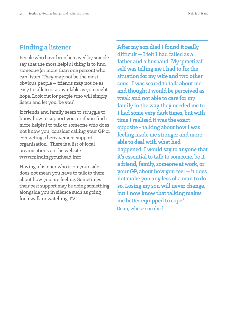# **Finding a listener**

People who have been bereaved by suicide say that the most helpful thing is to find someone (or more than one person) who can listen. They may not be the most obvious people – friends may not be as easy to talk to or as available as you might hope. Look out for people who will simply listen and let you 'be you'.

If friends and family seem to struggle to know how to support you, or if you find it more helpful to talk to someone who does not know you, consider calling your GP or contacting a bereavement support organisation. There is a list of local organisations on the website www.mindingyourhead.info

Having a listener who is on your side does not mean you have to talk to them about how you are feeling. Sometimes their best support may be doing something alongside you in silence such as going for a walk or watching TV.

**'After my son died I found it really difficult – I felt I had failed as a father and a husband. My 'practical' self was telling me I had to fix the situation for my wife and two other sons. I was scared to talk about me and thought I would be perceived as weak and not able to care for my family in the way they needed me to. I had some very dark times, but with time I realised it was the exact opposite - talking about how I was feeling made me stronger and more able to deal with what had happened.I would say to anyone that it's essential to talk to someone, be it a friend, family, someone at work, or your GP, about how you feel – it does not make you any less of a man to do so. Losing my son will never change, but I now know that talking makes me better equipped to cope.'** Dean, whose son died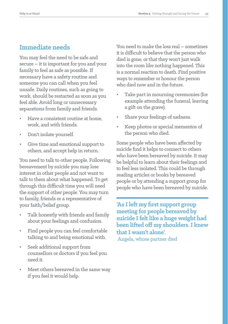# **Immediate needs**

You may feel the need to be safe and secure – it is important for you and your family to feel as safe as possible. If necessary have a safety routine and someone you can call when you feel unsafe. Daily routines, such as going to work, should be restarted as soon as you feel able. Avoid long or unnecessary separations from family and friends.

- Have a consistent routine at home, work, and with friends.
- Don't isolate yourself.
- Give time and emotional support to others, and accept help in return.

You need to talk to other people. Following bereavement by suicide you may lose interest in other people and not want to talk to them about what happened. To get through this difficult time you will need the support of other people. You may turn to family, friends or a representative of your faith/belief group.

- Talk honestly with friends and family about your feelings and confusion.
- Find people you can feel comfortable talking to and being emotional with.
- Seek additional support from counsellors or doctors if you feel you need it.
- Meet others bereaved in the same way if you feel it would help.

You need to make the loss real – sometimes it is difficult to believe that the person who died is gone, or that they won't just walk into the room like nothing happened. This is a normal reaction to death. Find positive ways to remember or honour the person who died now and in the future.

- Take part in mourning ceremonies (for example attending the funeral, leaving a gift on the grave).
- Share your feelings of sadness.
- Keep photos or special mementos of the person who died.

Some people who have been affected by suicide find it helps to connect to others who have been bereaved by suicide. It may be helpful to learn about their feelings and to feel less isolated. This could be through reading articles or books by bereaved people or by attending a support group for people who have been bereaved by suicide.

**'As I left my first support group meeting for people bereaved by suicide I felt like a huge weight had been lifted off my shoulders. I knew that I wasn't alone'.** 

Angela, whose partner died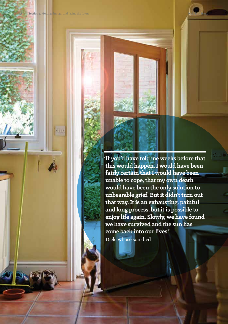**Section 5** Getting through and facing the future

**'If you'd have told me weeks before that this would happen, I would have been fairly certain that I would have been unable to cope, that my own death would have been the only solution to unbearable grief. But it didn't turn out that way.It is an exhausting, painful and long process, but it is possible to enjoy life again. Slowly, we have found we have survived and the sun has come back into our lives.'** Dick, whose son died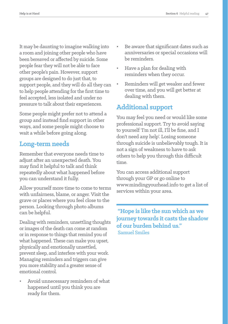It may be daunting to imagine walking into a room and joining other people who have been bereaved or affected by suicide. Some people fear they will not be able to face other people's pain. However, support groups are designed to do just that, to support people, and they will do all they can to help people attending for the first time to feel accepted, less isolated and under no pressure to talk about their experiences.

Some people might prefer not to attend a group and instead find support in other ways, and some people might choose to wait a while before going along.

# **Long-term needs**

Remember that everyone needs time to adjust after an unexpected death. You may find it helpful to talk and think repeatedly about what happened before you can understand it fully.

Allow yourself more time to come to terms with unfairness, blame, or anger. Visit the grave or places where you feel close to the person. Looking through photo albums can be helpful.

Dealing with reminders, unsettling thoughts or images of the death can come at random or in response to things that remind you of what happened. These can make you upset, physically and emotionally unsettled, prevent sleep, and interfere with your work. Managing reminders and triggers can give you more stability and a greater sense of emotional control.

• Avoid unnecessary reminders of what happened until you think you are ready for them.

- Be aware that significant dates such as anniversaries or special occasions will be reminders.
- Have a plan for dealing with reminders when they occur.
- Reminders will get weaker and fewer over time, and you will get better at dealing with them.

# **Additional support**

You may feel you need or would like some professional support. Try to avoid saying to yourself 'I'm not ill, I'll be fine, and I don't need any help'. Losing someone through suicide is unbelievably tough. It is not a sign of weakness to have to ask others to help you through this difficult time.

You can access additional support through your GP or go online to www.mindingyourhead.info to get a list of services within your area.

 **"Hope is like the sun which as we journey towards it casts the shadow of our burden behind us."** Samuel Smiles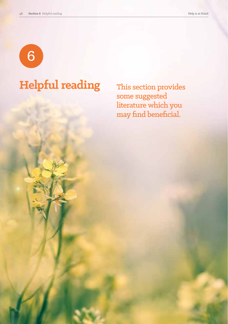6

# **Helpful reading** This section provides

some suggested literature which you may find beneficial.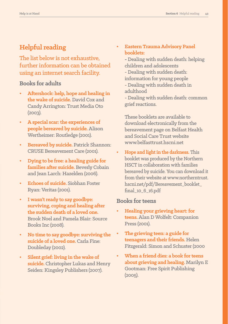# **Helpful reading**

The list below is not exhaustive, further information can be obtained using an internet search facility.

#### **Books for adults**

- **• Aftershock: help, hope and healing in the wake of suicide.** David Cox and Candy Arrington: Trust Media Oto (2003).
- **• A special scar: the experiences of people bereaved by suicide.** Alison Wertheimer: Routledge (2001).
- **• Bereaved by suicide.** Patrick Shannon: CRUSE Bereavement Care (2001).
- **• Dying to be free: a healing guide for families after suicide.** Beverly Cobain and Jean Larch: Hazelden (2006).
- **• Echoes of suicide.** Siobhan Foster Ryan: Veritas (2001).
- **• I wasn't ready to say goodbye: surviving, coping and healing after the sudden death of a loved one.** Brook Noel and Pamela Blair: Source Books Inc (2008).
- **• No time to say goodbye: surviving the suicide of a loved one.** Carla Fine: Doubleday (2002).
- **• Silent grief: living in the wake of suicide.** Christopher Lukas and Henry Seiden: Kingsley Publishers (2007).
- **• Eastern Trauma Advisory Panel booklets:**
	- Dealing with sudden death: helping children and adolescents
	- Dealing with sudden death:
	- information for young people
	- Dealing with sudden death in adulthood

- Dealing with sudden death: common grief reactions.

These booklets are available to download electronically from the bereavement page on Belfast Health and Social Care Trust website www.belfasttrust.hscni.net

**• Hope and light in the darkness.** This booklet was produced by the Northern HSCT in collaboration with families bereaved by suicide. You can download it from their website at www.northerntrust. hscni.net/pdf/Bereavement\_booklet\_ final\_10\_6\_16.pdf

#### **Books for teens**

- **• Healing your grieving heart: for teens.** Alan D Wolfelt: Companion Press (2001).
- **• The grieving teen: a guide for teenagers and their friends.** Helen Fitzgerald: Simon and Schuster (2000
- **• When a friend dies: a book for teens about grieving and healing.** Marilyn E Gootman: Free Spirit Publishing (2005).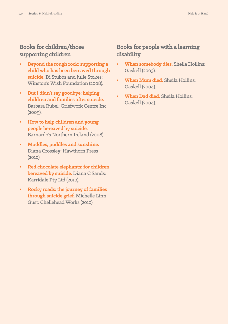## **Books for children/those supporting children**

- **• Beyond the rough rock: supporting a child who has been bereaved through suicide.** Di Stubbs and Julie Stokes: Winston's Wish Foundation (2008).
- **• But I didn't say goodbye: helping children and families after suicide.**  Barbara Rubel: Griefwork Centre Inc  $(2009)$ .
- **• How to help children and young people bereaved by suicide.**  Barnardo's Northern Ireland (2008).
- **• Muddles, puddles and sunshine.**  Diana Crossley: Hawthorn Press (2010).
- **• Red chocolate elephants: for children bereaved by suicide.** Diana C Sands: Karridale Pty Ltd (2010).
- **• Rocky roads: the journey of families through suicide grief.** Michelle Linn Gust: Chellehead Works (2010).

# **Books for people with a learning disability**

- **• When somebody dies.** Sheila Hollins: Gaskell (2003).
- **• When Mum died.** Sheila Hollins: Gaskell (2004).
- **• When Dad died.** Sheila Hollins: Gaskell (2004).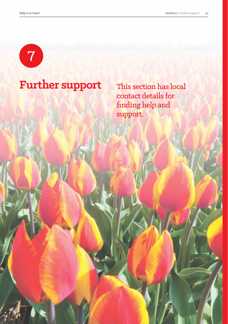

# Further support This section has local

contact details for finding help and support.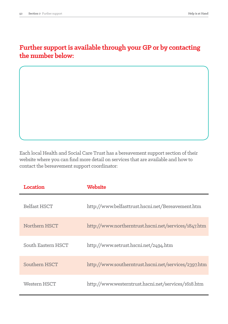# **Further support is available through your GP or by contacting the number below:**

Each local Health and Social Care Trust has a bereavement support section of their website where you can find more detail on services that are available and how to contact the bereavement support coordinator:

| Location            | <b>Website</b>                                       |
|---------------------|------------------------------------------------------|
| <b>Belfast HSCT</b> | http://www.belfasttrust.hscni.net/Bereavement.htm    |
| Northern HSCT       | http://www.northerntrust.hscni.net/services/1847.htm |
| South Eastern HSCT  | http://www.setrust.hscni.net/2494.htm                |
| Southern HSCT       | http://www.southerntrust.hscni.net/services/2397.htm |
| Western HSCT        | http://www.westerntrust.hscni.net/services/1618.htm  |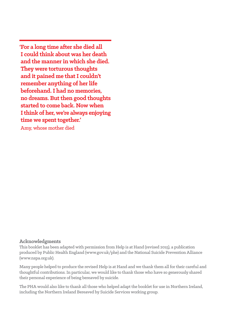**'For a long time after she died all I could think about was her death and the manner in which she died. They were torturous thoughts and it pained me that I couldn't remember anything of her life beforehand. I had no memories, no dreams. But then good thoughts started to come back. Now when Ithink of her, we're always enjoying time we spent together.'** Amy, whose mother died

#### **Acknowledgments**

This booklet has been adapted with permission from Help is at Hand (revised 2015), a publication produced by Public Health England (www.gov.uk/phe) and the National Suicide Prevention Alliance (www.nspa.org.uk).

Many people helped to produce the revised Help is at Hand and we thank them all for their careful and thoughtful contributions. In particular, we would like to thank those who have so generously shared their personal experience of being bereaved by suicide.

The PHA would also like to thank all those who helped adapt the booklet for use in Northern Ireland, including the Northern Ireland Bereaved by Suicide Services working group.